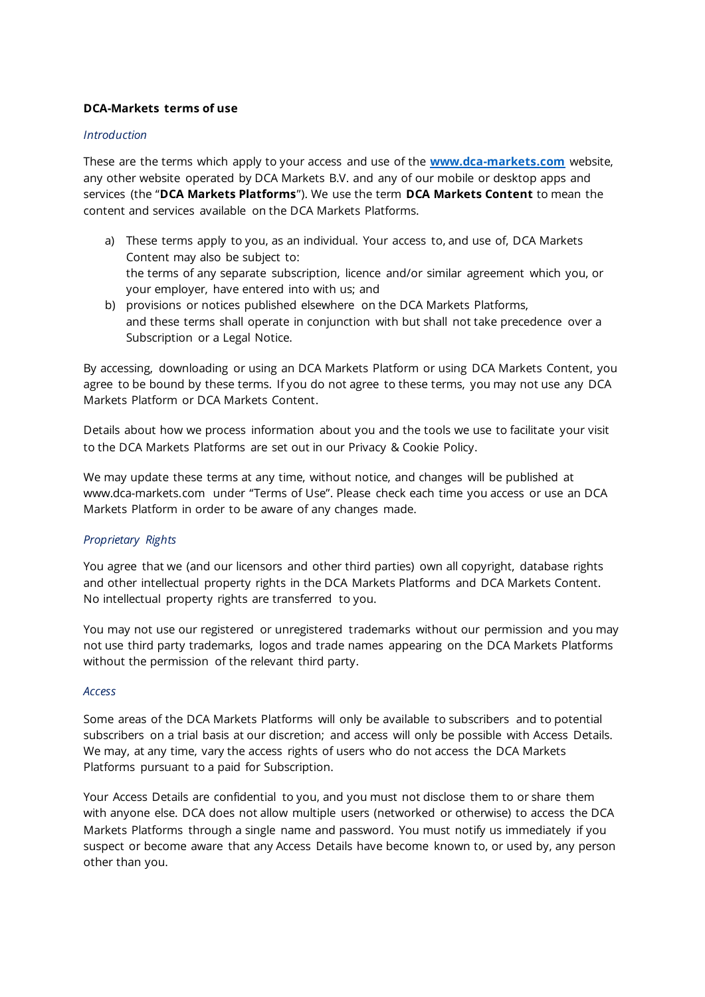# **DCA-Markets terms of use**

### *Introduction*

These are the terms which apply to your access and use of the **[www.dca-markets.com](http://www.dca-markets.com/)** website, any other website operated by DCA Markets B.V. and any of our mobile or desktop apps and services (the "**DCA Markets Platforms**"). We use the term **DCA Markets Content** to mean the content and services available on the DCA Markets Platforms.

- a) These terms apply to you, as an individual. Your access to, and use of, DCA Markets Content may also be subject to: the terms of any separate subscription, licence and/or similar agreement which you, or your employer, have entered into with us; and
- b) provisions or notices published elsewhere on the DCA Markets Platforms, and these terms shall operate in conjunction with but shall not take precedence over a Subscription or a Legal Notice.

By accessing, downloading or using an DCA Markets Platform or using DCA Markets Content, you agree to be bound by these terms. If you do not agree to these terms, you may not use any DCA Markets Platform or DCA Markets Content.

Details about how we process information about you and the tools we use to facilitate your visit to the DCA Markets Platforms are set out in our [Privacy & Cookie Policy.](https://www.argusmedia.com/en/privacy-policy)

We may update these terms at any time, without notice, and changes will be published at www.dca-markets.com under "Terms of Use". Please check each time you access or use an DCA Markets Platform in order to be aware of any changes made.

## *Proprietary Rights*

You agree that we (and our licensors and other third parties) own all copyright, database rights and other intellectual property rights in the DCA Markets Platforms and DCA Markets Content. No intellectual property rights are transferred to you.

You may not use our registered or unregistered trademarks without our permission and you may not use third party trademarks, logos and trade names appearing on the DCA Markets Platforms without the permission of the relevant third party.

#### *Access*

Some areas of the DCA Markets Platforms will only be available to subscribers and to potential subscribers on a trial basis at our discretion; and access will only be possible with Access Details. We may, at any time, vary the access rights of users who do not access the DCA Markets Platforms pursuant to a paid for Subscription.

Your Access Details are confidential to you, and you must not disclose them to or share them with anyone else. DCA does not allow multiple users (networked or otherwise) to access the DCA Markets Platforms through a single name and password. You must notify us immediately if you suspect or become aware that any Access Details have become known to, or used by, any person other than you.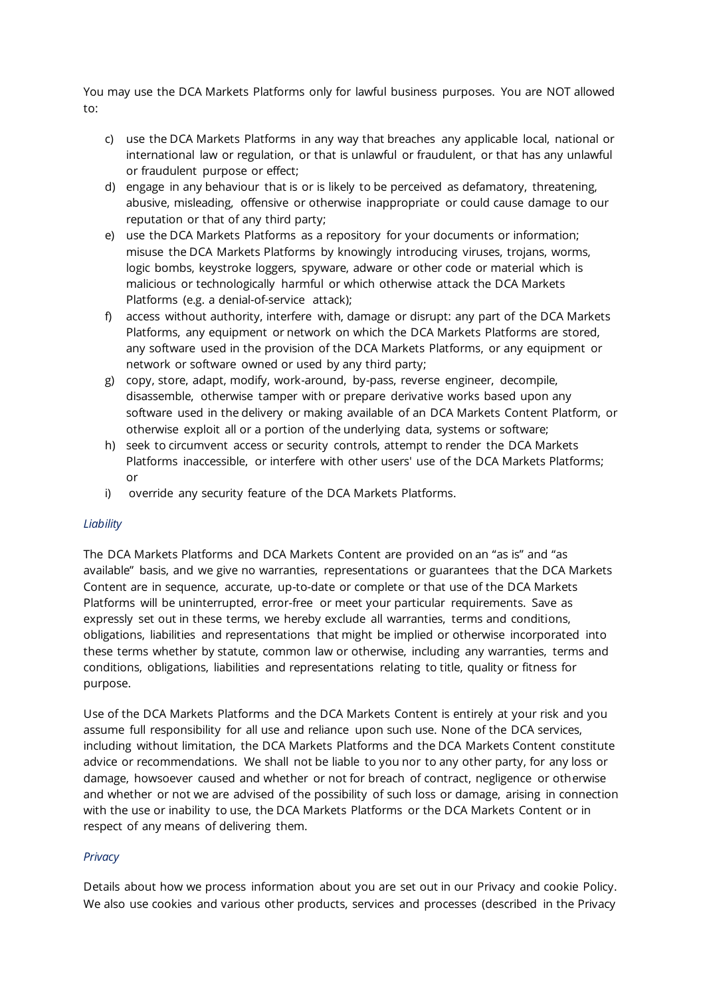You may use the DCA Markets Platforms only for lawful business purposes. You are NOT allowed to:

- c) use the DCA Markets Platforms in any way that breaches any applicable local, national or international law or regulation, or that is unlawful or fraudulent, or that has any unlawful or fraudulent purpose or effect;
- d) engage in any behaviour that is or is likely to be perceived as defamatory, threatening, abusive, misleading, offensive or otherwise inappropriate or could cause damage to our reputation or that of any third party;
- e) use the DCA Markets Platforms as a repository for your documents or information; misuse the DCA Markets Platforms by knowingly introducing viruses, trojans, worms, logic bombs, keystroke loggers, spyware, adware or other code or material which is malicious or technologically harmful or which otherwise attack the DCA Markets Platforms (e.g. a denial-of-service attack);
- f) access without authority, interfere with, damage or disrupt: any part of the DCA Markets Platforms, any equipment or network on which the DCA Markets Platforms are stored, any software used in the provision of the DCA Markets Platforms, or any equipment or network or software owned or used by any third party;
- g) copy, store, adapt, modify, work-around, by-pass, reverse engineer, decompile, disassemble, otherwise tamper with or prepare derivative works based upon any software used in the delivery or making available of an DCA Markets Content Platform, or otherwise exploit all or a portion of the underlying data, systems or software;
- h) seek to circumvent access or security controls, attempt to render the DCA Markets Platforms inaccessible, or interfere with other users' use of the DCA Markets Platforms; or
- i) override any security feature of the DCA Markets Platforms.

# *Liability*

The DCA Markets Platforms and DCA Markets Content are provided on an "as is" and "as available" basis, and we give no warranties, representations or guarantees that the DCA Markets Content are in sequence, accurate, up-to-date or complete or that use of the DCA Markets Platforms will be uninterrupted, error-free or meet your particular requirements. Save as expressly set out in these terms, we hereby exclude all warranties, terms and conditions, obligations, liabilities and representations that might be implied or otherwise incorporated into these terms whether by statute, common law or otherwise, including any warranties, terms and conditions, obligations, liabilities and representations relating to title, quality or fitness for purpose.

Use of the DCA Markets Platforms and the DCA Markets Content is entirely at your risk and you assume full responsibility for all use and reliance upon such use. None of the DCA services, including without limitation, the DCA Markets Platforms and the DCA Markets Content constitute advice or recommendations. We shall not be liable to you nor to any other party, for any loss or damage, howsoever caused and whether or not for breach of contract, negligence or otherwise and whether or not we are advised of the possibility of such loss or damage, arising in connection with the use or inability to use, the DCA Markets Platforms or the DCA Markets Content or in respect of any means of delivering them.

## *Privacy*

Details about how we process information about you are set out in our Privacy [and cookie](https://www.argusmedia.com/en/privacy-policy) Policy. We also use cookies and various other products, services and processes (described in the Privacy